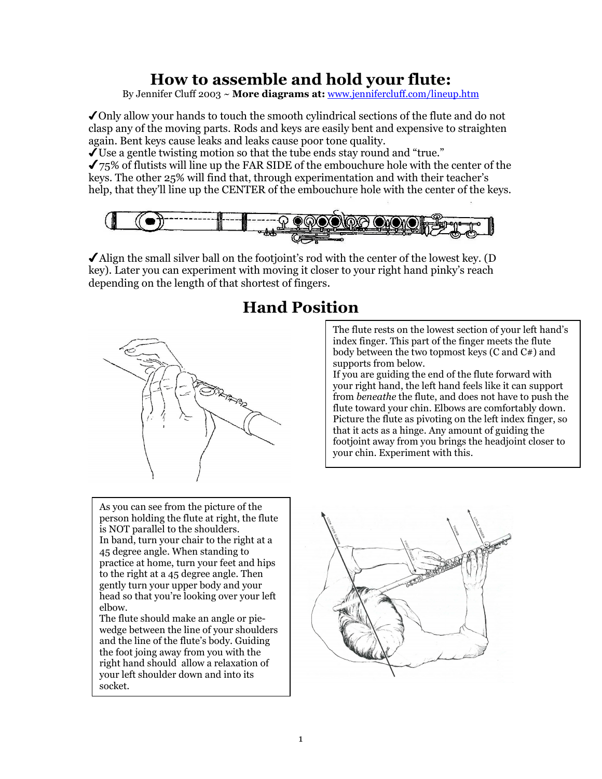## How to assemble and hold your flute:

By Jennifer Cluff 2003 ~ More diagrams at: www.jennifercluff.com/lineup.htm

✔Only allow your hands to touch the smooth cylindrical sections of the flute and do not clasp any of the moving parts. Rods and keys are easily bent and expensive to straighten again. Bent keys cause leaks and leaks cause poor tone quality.

 $\sqrt{\text{Use a gentle twisting motion so that the tube ends stay round and "true."}}$ 

 $\checkmark$  75% of flutists will line up the FAR SIDE of the embouchure hole with the center of the keys. The other 25% will find that, through experimentation and with their teacher's help, that they'll line up the CENTER of the embouchure hole with the center of the keys.



 $\blacktriangle$  Align the small silver ball on the footjoint's rod with the center of the lowest key. (D key). Later you can experiment with moving it closer to your right hand pinky's reach depending on the length of that shortest of fingers.

## Hand Position



As you can see from the picture of the person holding the flute at right, the flute is NOT parallel to the shoulders. In band, turn your chair to the right at a 45 degree angle. When standing to practice at home, turn your feet and hips to the right at a 45 degree angle. Then gently turn your upper body and your head so that you're looking over your left elbow.

The flute should make an angle or piewedge between the line of your shoulders and the line of the flute's body. Guiding the foot joing away from you with the right hand should allow a relaxation of your left shoulder down and into its socket.

The flute rests on the lowest section of your left hand's index finger. This part of the finger meets the flute body between the two topmost keys (C and C#) and supports from below.

If you are guiding the end of the flute forward with your right hand, the left hand feels like it can support from beneathe the flute, and does not have to push the flute toward your chin. Elbows are comfortably down. Picture the flute as pivoting on the left index finger, so that it acts as a hinge. Any amount of guiding the footjoint away from you brings the headjoint closer to your chin. Experiment with this.